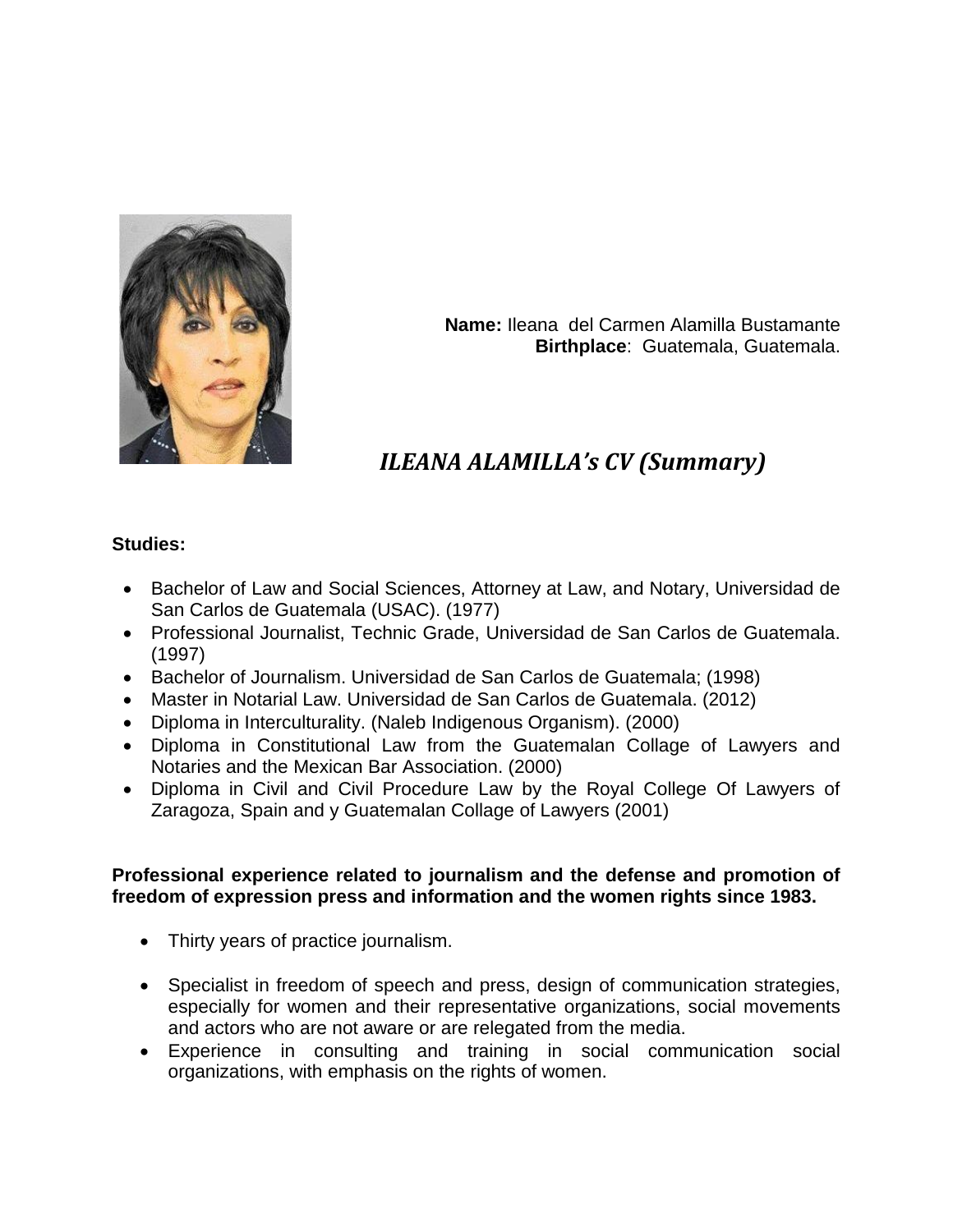

**Name:** Ileana del Carmen Alamilla Bustamante **Birthplace**: Guatemala, Guatemala.

# *ILEANA ALAMILLA's CV (Summary)*

#### **Studies:**

- Bachelor of Law and Social Sciences, Attorney at Law, and Notary, Universidad de San Carlos de Guatemala (USAC). (1977)
- Professional Journalist, Technic Grade, Universidad de San Carlos de Guatemala. (1997)
- Bachelor of Journalism. Universidad de San Carlos de Guatemala; (1998)
- Master in Notarial Law. Universidad de San Carlos de Guatemala. (2012)
- Diploma in Interculturality. (Naleb Indigenous Organism). (2000)
- Diploma in Constitutional Law from the Guatemalan Collage of Lawyers and Notaries and the Mexican Bar Association. (2000)
- Diploma in Civil and Civil Procedure Law by the Royal College Of Lawyers of Zaragoza, Spain and y Guatemalan Collage of Lawyers (2001)

### **Professional experience related to journalism and the defense and promotion of freedom of expression press and information and the women rights since 1983.**

- Thirty years of practice journalism.
- Specialist in freedom of speech and press, design of communication strategies, especially for women and their representative organizations, social movements and actors who are not aware or are relegated from the media.
- Experience in consulting and training in social communication social organizations, with emphasis on the rights of women.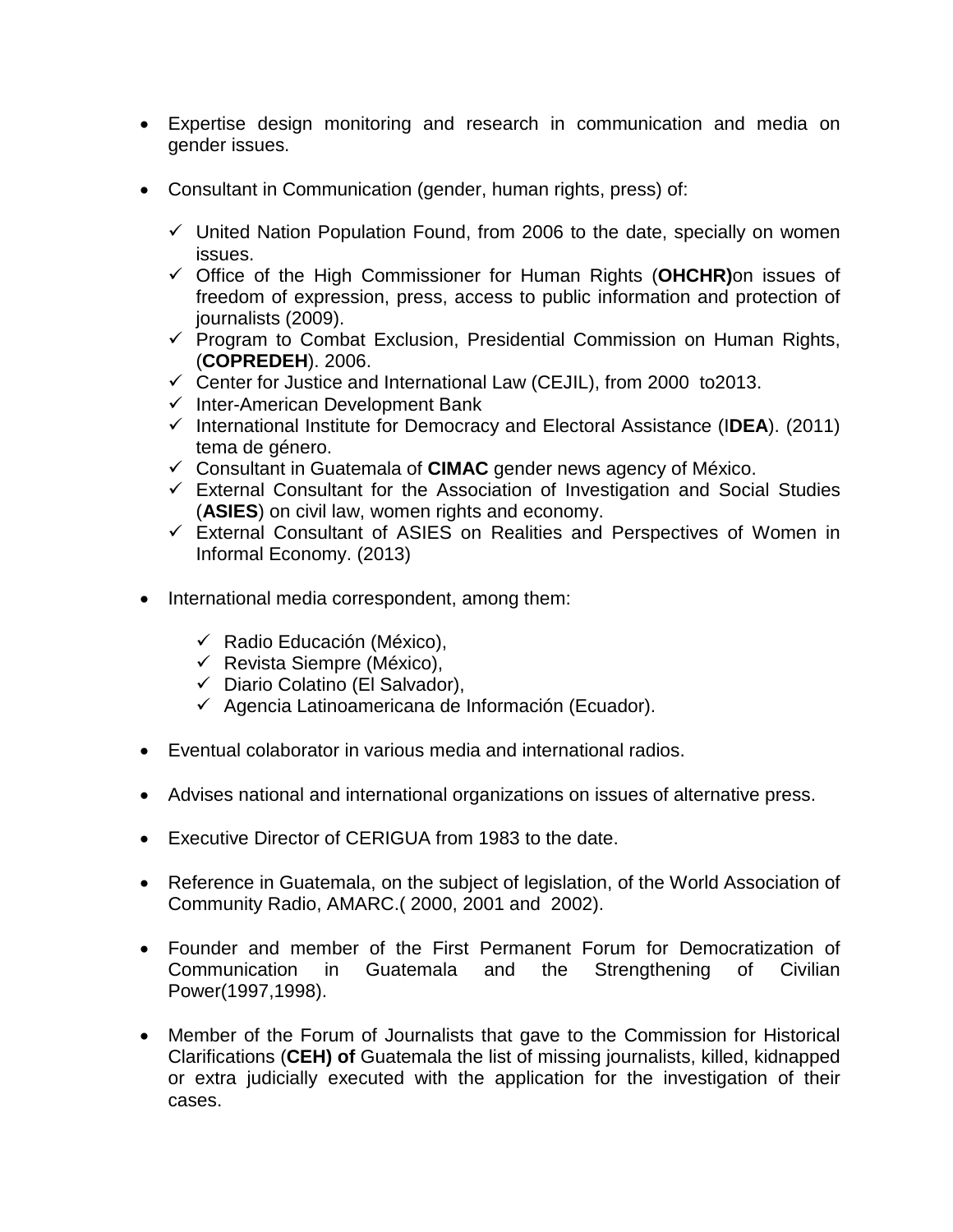- Expertise design monitoring and research in communication and media on gender issues.
- Consultant in Communication (gender, human rights, press) of:
	- $\checkmark$  United Nation Population Found, from 2006 to the date, specially on women issues.
	- Office of the High Commissioner for Human Rights (**OHCHR)**on issues of freedom of expression, press, access to public information and protection of journalists (2009).
	- $\checkmark$  Program to Combat Exclusion, Presidential Commission on Human Rights, (**COPREDEH**). 2006.
	- $\checkmark$  Center for Justice and International Law (CEJIL), from 2000 to2013.
	- $\checkmark$  Inter-American Development Bank
	- International Institute for Democracy and Electoral Assistance (I**DEA**). (2011) tema de género.
	- Consultant in Guatemala of **CIMAC** gender news agency of México.
	- $\checkmark$  External Consultant for the Association of Investigation and Social Studies (**ASIES**) on civil law, women rights and economy.
	- $\checkmark$  External Consultant of ASIES on Realities and Perspectives of Women in Informal Economy. (2013)
- International media correspondent, among them:
	- $\checkmark$  Radio Educación (México),
	- $\checkmark$  Revista Siempre (México),
	- $\checkmark$  Diario Colatino (El Salvador),
	- $\checkmark$  Agencia Latinoamericana de Información (Ecuador).
- Eventual colaborator in various media and international radios.
- Advises national and international organizations on issues of alternative press.
- Executive Director of CERIGUA from 1983 to the date.
- Reference in Guatemala, on the subject of legislation, of the World Association of Community Radio, AMARC.( 2000, 2001 and 2002).
- Founder and member of the First Permanent Forum for Democratization of Communication in Guatemala and the Strengthening of Civilian Power(1997,1998).
- Member of the Forum of Journalists that gave to the Commission for Historical Clarifications (**CEH) of** Guatemala the list of missing journalists, killed, kidnapped or extra judicially executed with the application for the investigation of their cases.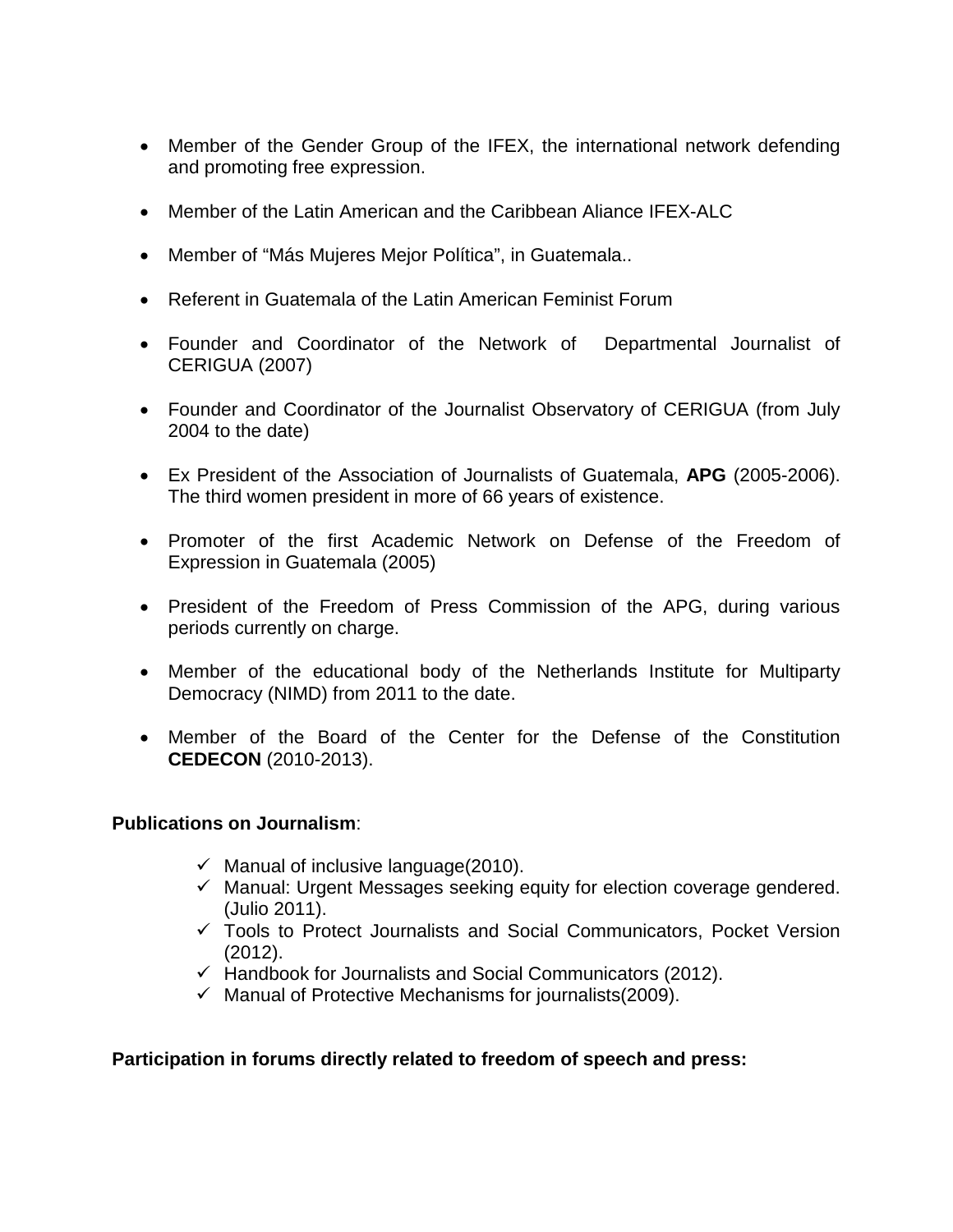- Member of the Gender Group of the IFEX, the international network defending and promoting free expression.
- Member of the Latin American and the Caribbean Aliance IFEX-ALC
- Member of "Más Mujeres Mejor Política", in Guatemala..
- Referent in Guatemala of the Latin American Feminist Forum
- Founder and Coordinator of the Network of Departmental Journalist of CERIGUA (2007)
- Founder and Coordinator of the Journalist Observatory of CERIGUA (from July 2004 to the date)
- Ex President of the Association of Journalists of Guatemala, **APG** (2005-2006). The third women president in more of 66 years of existence.
- Promoter of the first Academic Network on Defense of the Freedom of Expression in Guatemala (2005)
- President of the Freedom of Press Commission of the APG, during various periods currently on charge.
- Member of the educational body of the Netherlands Institute for Multiparty Democracy (NIMD) from 2011 to the date.
- Member of the Board of the Center for the Defense of the Constitution **CEDECON** (2010-2013).

### **Publications on Journalism**:

- $\checkmark$  Manual of inclusive language(2010).
- $\checkmark$  Manual: Urgent Messages seeking equity for election coverage gendered. (Julio 2011).
- Tools to Protect Journalists and Social Communicators, Pocket Version (2012).
- $\checkmark$  Handbook for Journalists and Social Communicators (2012).
- $\checkmark$  Manual of Protective Mechanisms for journalists (2009).

### **Participation in forums directly related to freedom of speech and press:**